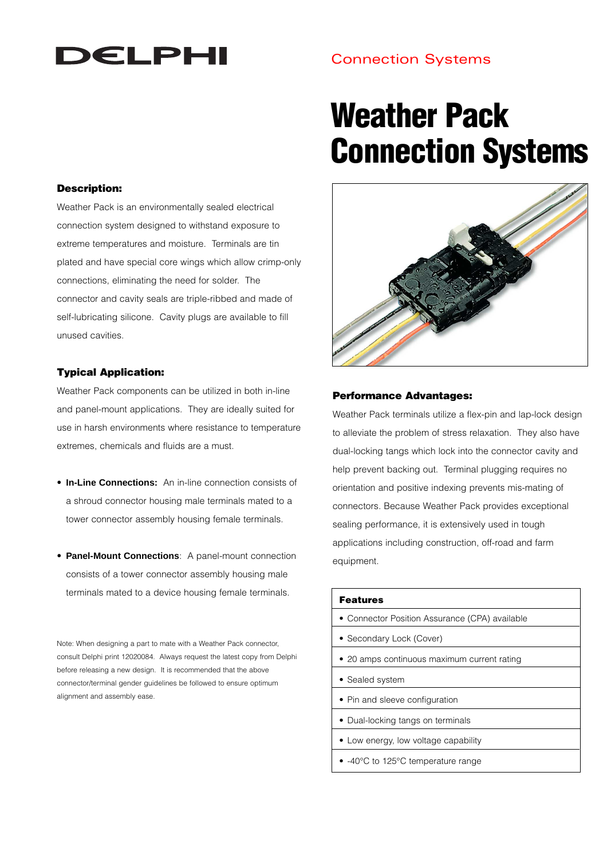## **DELPHI**

## Connection Systems

## **Weather Pack Connection Systems**

#### **Description:**

Weather Pack is an environmentally sealed electrical connection system designed to withstand exposure to extreme temperatures and moisture. Terminals are tin plated and have special core wings which allow crimp-only connections, eliminating the need for solder. The connector and cavity seals are triple-ribbed and made of self-lubricating silicone. Cavity plugs are available to fill unused cavities.

#### **Typical Application:**

Weather Pack components can be utilized in both in-line and panel-mount applications. They are ideally suited for use in harsh environments where resistance to temperature extremes, chemicals and fluids are a must.

- **In-Line Connections:** An in-line connection consists of a shroud connector housing male terminals mated to a tower connector assembly housing female terminals.
- **Panel-Mount Connections**: A panel-mount connection consists of a tower connector assembly housing male terminals mated to a device housing female terminals.

Note: When designing a part to mate with a Weather Pack connector, consult Delphi print 12020084. Always request the latest copy from Delphi before releasing a new design. It is recommended that the above connector/terminal gender guidelines be followed to ensure optimum alignment and assembly ease.



#### **Performance Advantages:**

Weather Pack terminals utilize a flex-pin and lap-lock design to alleviate the problem of stress relaxation. They also have dual-locking tangs which lock into the connector cavity and help prevent backing out. Terminal plugging requires no orientation and positive indexing prevents mis-mating of connectors. Because Weather Pack provides exceptional sealing performance, it is extensively used in tough applications including construction, off-road and farm equipment.

## **Features** • Connector Position Assurance (CPA) available • Secondary Lock (Cover) • 20 amps continuous maximum current rating • Sealed system • Pin and sleeve configuration • Dual-locking tangs on terminals • Low energy, low voltage capability • -40°C to 125°C temperature range